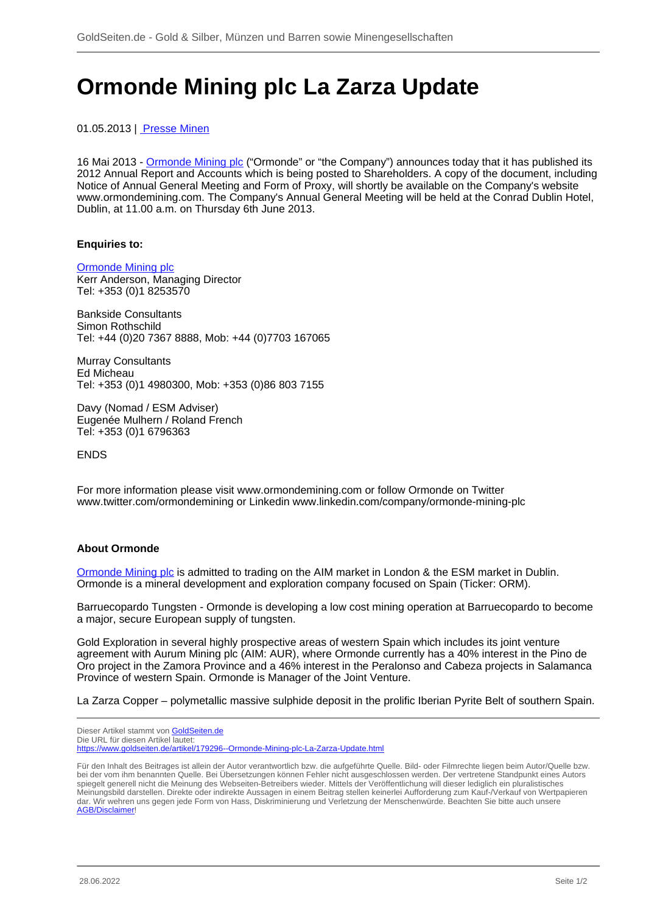## **Ormonde Mining plc La Zarza Update**

01.05.2013 | [Presse Minen](/profil/322----Presse-Minen)

16 Mai 2013 - [Ormonde Mining plc](/minen/2539--Ormonde-Mining-plc) ("Ormonde" or "the Company") announces today that it has published its 2012 Annual Report and Accounts which is being posted to Shareholders. A copy of the document, including Notice of Annual General Meeting and Form of Proxy, will shortly be available on the Company's website www.ormondemining.com. The Company's Annual General Meeting will be held at the Conrad Dublin Hotel, Dublin, at 11.00 a.m. on Thursday 6th June 2013.

## **Enquiries to:**

[Ormonde Mining plc](/minen/2539--Ormonde-Mining-plc) Kerr Anderson, Managing Director Tel: +353 (0)1 8253570

Bankside Consultants Simon Rothschild Tel: +44 (0)20 7367 8888, Mob: +44 (0)7703 167065

Murray Consultants Ed Micheau Tel: +353 (0)1 4980300, Mob: +353 (0)86 803 7155

Davy (Nomad / ESM Adviser) Eugenée Mulhern / Roland French Tel: +353 (0)1 6796363

ENDS

For more information please visit www.ormondemining.com or follow Ormonde on Twitter www.twitter.com/ormondemining or Linkedin www.linkedin.com/company/ormonde-mining-plc

## **About Ormonde**

[Ormonde Mining plc](/minen/2539--Ormonde-Mining-plc) is admitted to trading on the AIM market in London & the ESM market in Dublin. Ormonde is a mineral development and exploration company focused on Spain (Ticker: ORM).

Barruecopardo Tungsten - Ormonde is developing a low cost mining operation at Barruecopardo to become a major, secure European supply of tungsten.

Gold Exploration in several highly prospective areas of western Spain which includes its joint venture agreement with Aurum Mining plc (AIM: AUR), where Ormonde currently has a 40% interest in the Pino de Oro project in the Zamora Province and a 46% interest in the Peralonso and Cabeza projects in Salamanca Province of western Spain. Ormonde is Manager of the Joint Venture.

La Zarza Copper – polymetallic massive sulphide deposit in the prolific Iberian Pyrite Belt of southern Spain.

Dieser Artikel stammt von [GoldSeiten.de](https://www.goldseiten.de)

Die URL für diesen Artikel lautet: <https://www.goldseiten.de/artikel/179296--Ormonde-Mining-plc-La-Zarza-Update.html>

Für den Inhalt des Beitrages ist allein der Autor verantwortlich bzw. die aufgeführte Quelle. Bild- oder Filmrechte liegen beim Autor/Quelle bzw. bei der vom ihm benannten Quelle. Bei Übersetzungen können Fehler nicht ausgeschlossen werden. Der vertretene Standpunkt eines Autors spiegelt generell nicht die Meinung des Webseiten-Betreibers wieder. Mittels der Veröffentlichung will dieser lediglich ein pluralistisches Meinungsbild darstellen. Direkte oder indirekte Aussagen in einem Beitrag stellen keinerlei Aufforderung zum Kauf-/Verkauf von Wertpapieren dar. Wir wehren uns gegen jede Form von Hass, Diskriminierung und Verletzung der Menschenwürde. Beachten Sie bitte auch unsere [AGB/Disclaimer!](/intern/agb.php)